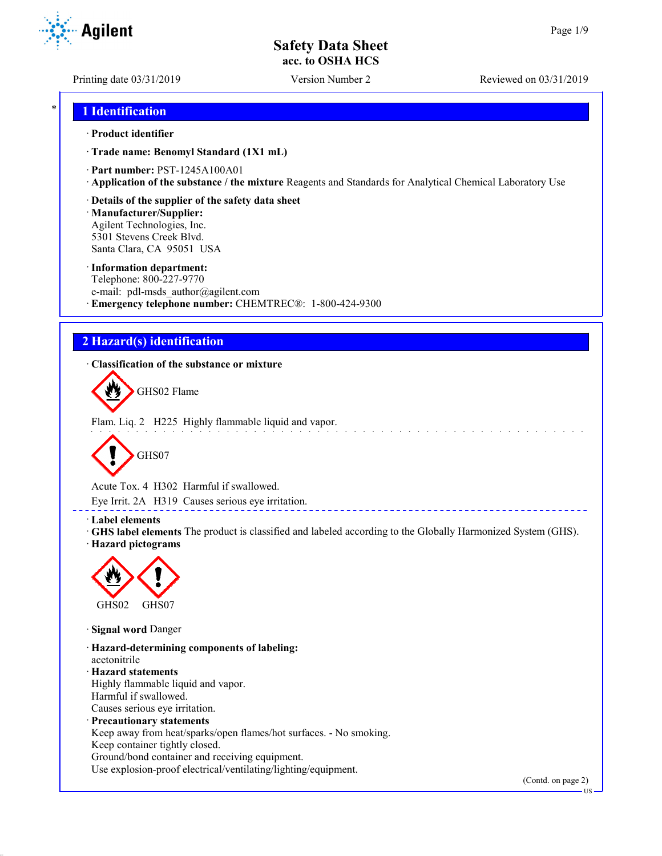**Agilent** 

Printing date 03/31/2019 Version Number 2 Reviewed on 03/31/2019

## \* **1 Identification**

#### · **Product identifier**

· **Trade name: Benomyl Standard (1X1 mL)**

- · **Part number:** PST-1245A100A01
- · **Application of the substance / the mixture** Reagents and Standards for Analytical Chemical Laboratory Use
- · **Details of the supplier of the safety data sheet**

· **Manufacturer/Supplier:** Agilent Technologies, Inc. 5301 Stevens Creek Blvd. Santa Clara, CA 95051 USA

#### · **Information department:**

Telephone: 800-227-9770 e-mail: pdl-msds author@agilent.com · **Emergency telephone number:** CHEMTREC®: 1-800-424-9300

## **2 Hazard(s) identification**

· **Classification of the substance or mixture**



Flam. Liq. 2 H225 Highly flammable liquid and vapor.



Acute Tox. 4 H302 Harmful if swallowed.

Eye Irrit. 2A H319 Causes serious eye irritation.

#### · **Label elements**

· **GHS label elements** The product is classified and labeled according to the Globally Harmonized System (GHS). · **Hazard pictograms**

\_\_\_\_\_\_\_\_\_\_\_\_\_\_\_\_\_\_\_\_\_\_



· **Signal word** Danger

· **Hazard-determining components of labeling:** acetonitrile · **Hazard statements** Highly flammable liquid and vapor. Harmful if swallowed. Causes serious eye irritation. · **Precautionary statements** Keep away from heat/sparks/open flames/hot surfaces. - No smoking. Keep container tightly closed. Ground/bond container and receiving equipment.

Use explosion-proof electrical/ventilating/lighting/equipment.

(Contd. on page 2)

US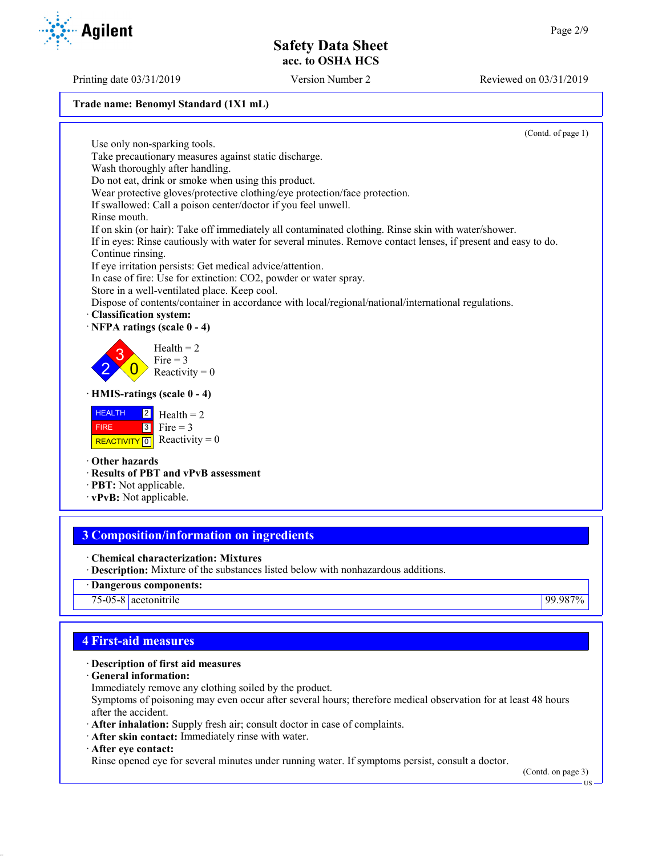#### **Trade name: Benomyl Standard (1X1 mL)**

Use only non-sparking tools.

Wash thoroughly after handling.

(Contd. of page 1)

Do not eat, drink or smoke when using this product. Wear protective gloves/protective clothing/eye protection/face protection.

If swallowed: Call a poison center/doctor if you feel unwell.

Take precautionary measures against static discharge.

Rinse mouth.

If on skin (or hair): Take off immediately all contaminated clothing. Rinse skin with water/shower.

If in eyes: Rinse cautiously with water for several minutes. Remove contact lenses, if present and easy to do. Continue rinsing.

If eye irritation persists: Get medical advice/attention.

In case of fire: Use for extinction: CO2, powder or water spray.

Store in a well-ventilated place. Keep cool.

Dispose of contents/container in accordance with local/regional/national/international regulations.

· **Classification system:**



 $\overline{0}$ Reactivity  $= 0$ 

· **HMIS-ratings (scale 0 - 4)**

| $H = 2$ Health = 2 |                                                                                |
|--------------------|--------------------------------------------------------------------------------|
| <b>FIRE</b>        | $\begin{array}{ c c } \hline \hline 3 & \text{Fire} = 3 \\ \hline \end{array}$ |
|                    | REACTIVITY $\boxed{0}$ Reactivity = 0                                          |

· **Other hazards**

- · **Results of PBT and vPvB assessment**
- · **PBT:** Not applicable.
- · **vPvB:** Not applicable.

## **3 Composition/information on ingredients**

- · **Chemical characterization: Mixtures**
- · **Description:** Mixture of the substances listed below with nonhazardous additions.
- · **Dangerous components:**

75-05-8 acetonitrile 99.987%

## **4 First-aid measures**

## · **Description of first aid measures**

- · **General information:**
- Immediately remove any clothing soiled by the product.

Symptoms of poisoning may even occur after several hours; therefore medical observation for at least 48 hours after the accident.

- · **After inhalation:** Supply fresh air; consult doctor in case of complaints.
- · **After skin contact:** Immediately rinse with water.

· **After eye contact:**

Rinse opened eye for several minutes under running water. If symptoms persist, consult a doctor.

(Contd. on page 3)

US

Printing date 03/31/2019 Version Number 2 Reviewed on 03/31/2019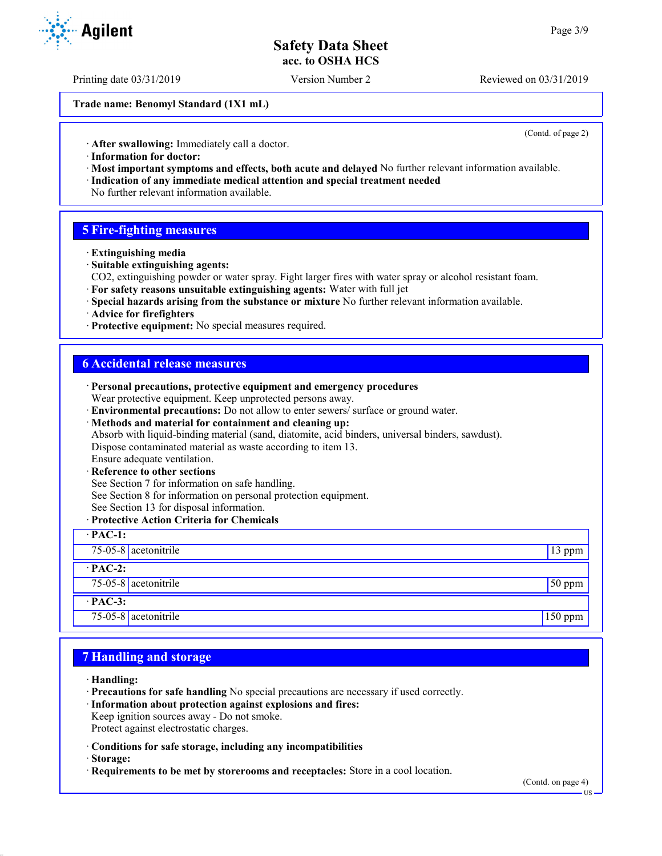Printing date 03/31/2019 Version Number 2 Reviewed on 03/31/2019

**Trade name: Benomyl Standard (1X1 mL)**

(Contd. of page 2)

· **After swallowing:** Immediately call a doctor.

- · **Information for doctor:**
- · **Most important symptoms and effects, both acute and delayed** No further relevant information available. · **Indication of any immediate medical attention and special treatment needed**
- No further relevant information available.

## **5 Fire-fighting measures**

- · **Extinguishing media**
- · **Suitable extinguishing agents:**
- CO2, extinguishing powder or water spray. Fight larger fires with water spray or alcohol resistant foam.
- · **For safety reasons unsuitable extinguishing agents:** Water with full jet
- · **Special hazards arising from the substance or mixture** No further relevant information available.
- · **Advice for firefighters**
- · **Protective equipment:** No special measures required.

#### **6 Accidental release measures**

| · Personal precautions, protective equipment and emergency procedures<br>Wear protective equipment. Keep unprotected persons away. |          |
|------------------------------------------------------------------------------------------------------------------------------------|----------|
|                                                                                                                                    |          |
| · Environmental precautions: Do not allow to enter sewers/ surface or ground water.                                                |          |
| · Methods and material for containment and cleaning up:                                                                            |          |
| Absorb with liquid-binding material (sand, diatomite, acid binders, universal binders, sawdust).                                   |          |
| Dispose contaminated material as waste according to item 13.                                                                       |          |
| Ensure adequate ventilation.                                                                                                       |          |
| · Reference to other sections                                                                                                      |          |
| See Section 7 for information on safe handling.                                                                                    |          |
| See Section 8 for information on personal protection equipment.                                                                    |          |
| See Section 13 for disposal information.                                                                                           |          |
| · Protective Action Criteria for Chemicals                                                                                         |          |
| $\cdot$ PAC-1:                                                                                                                     |          |
| 75-05-8 acetonitrile                                                                                                               | 13 ppm   |
| $\cdot$ PAC-2:                                                                                                                     |          |
| $75-05-8$ acetonitrile                                                                                                             | $50$ ppm |
| $\cdot$ PAC-3:                                                                                                                     |          |
| 75-05-8 $ $ acetonitrile                                                                                                           | 150 ppm  |

### **7 Handling and storage**

- · **Handling:**
- · **Precautions for safe handling** No special precautions are necessary if used correctly.
- · **Information about protection against explosions and fires:**
- Keep ignition sources away Do not smoke.
- Protect against electrostatic charges.
- · **Conditions for safe storage, including any incompatibilities**
- · **Storage:**
- · **Requirements to be met by storerooms and receptacles:** Store in a cool location.



US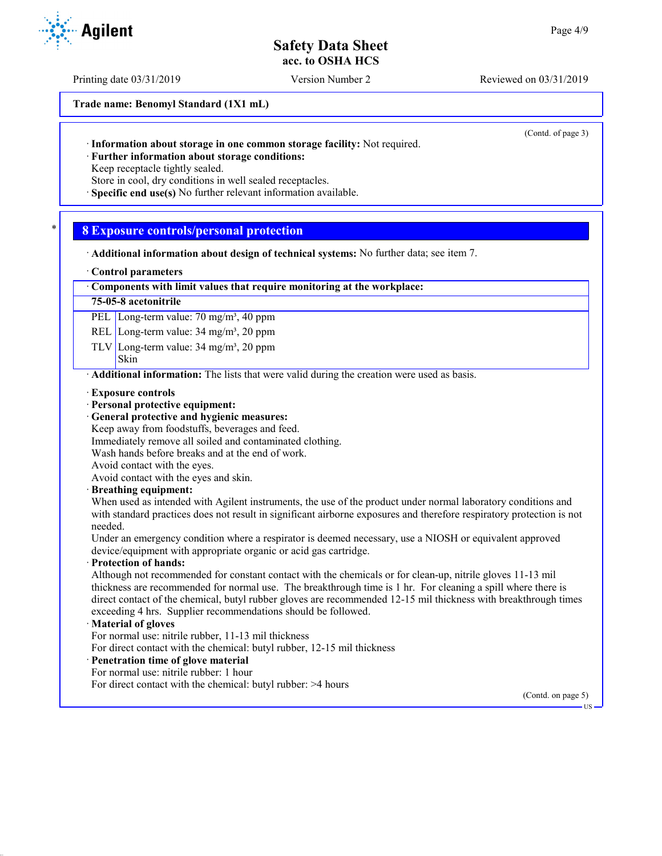Printing date 03/31/2019 Version Number 2 Reviewed on 03/31/2019

**Trade name: Benomyl Standard (1X1 mL)**

(Contd. of page 3)

· **Information about storage in one common storage facility:** Not required.

· **Further information about storage conditions:**

Keep receptacle tightly sealed.

Store in cool, dry conditions in well sealed receptacles.

· **Specific end use(s)** No further relevant information available.

## \* **8 Exposure controls/personal protection**

· **Additional information about design of technical systems:** No further data; see item 7.

#### · **Control parameters**

#### · **Components with limit values that require monitoring at the workplace:**

#### **75-05-8 acetonitrile**

PEL Long-term value: 70 mg/m<sup>3</sup>, 40 ppm

REL Long-term value: 34 mg/m<sup>3</sup>, 20 ppm

TLV Long-term value:  $34 \text{ mg/m}^3$ ,  $20 \text{ ppm}$ 

#### Skin

· **Additional information:** The lists that were valid during the creation were used as basis.

- · **Exposure controls**
- · **Personal protective equipment:**
- · **General protective and hygienic measures:**
- Keep away from foodstuffs, beverages and feed.
- Immediately remove all soiled and contaminated clothing.
- Wash hands before breaks and at the end of work.

Avoid contact with the eyes.

Avoid contact with the eyes and skin.

#### · **Breathing equipment:**

When used as intended with Agilent instruments, the use of the product under normal laboratory conditions and with standard practices does not result in significant airborne exposures and therefore respiratory protection is not needed.

Under an emergency condition where a respirator is deemed necessary, use a NIOSH or equivalent approved device/equipment with appropriate organic or acid gas cartridge.

#### · **Protection of hands:**

Although not recommended for constant contact with the chemicals or for clean-up, nitrile gloves 11-13 mil thickness are recommended for normal use. The breakthrough time is 1 hr. For cleaning a spill where there is direct contact of the chemical, butyl rubber gloves are recommended 12-15 mil thickness with breakthrough times exceeding 4 hrs. Supplier recommendations should be followed.

#### · **Material of gloves**

For normal use: nitrile rubber, 11-13 mil thickness

For direct contact with the chemical: butyl rubber, 12-15 mil thickness

## · **Penetration time of glove material**

For normal use: nitrile rubber: 1 hour

For direct contact with the chemical: butyl rubber: >4 hours

(Contd. on page 5)

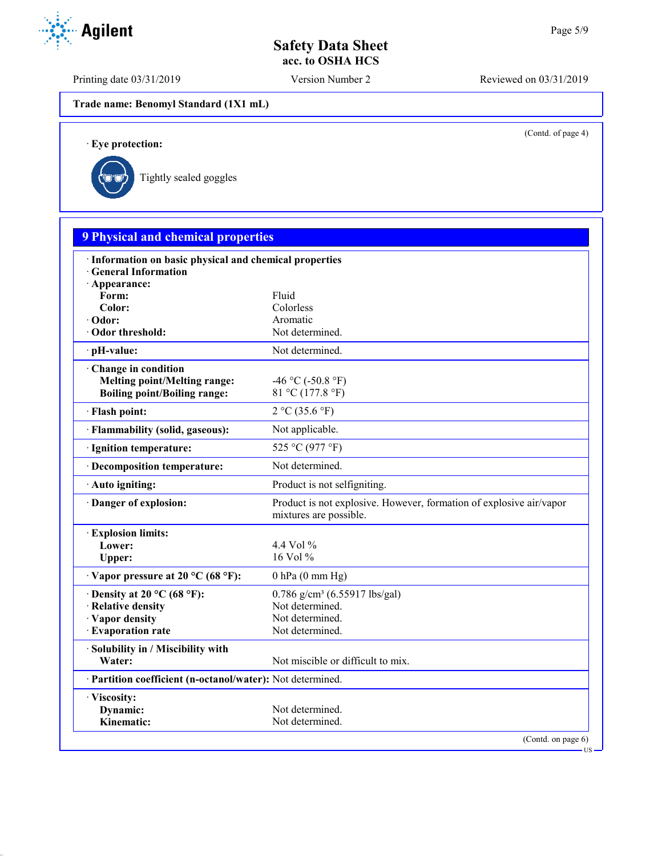Printing date 03/31/2019 Version Number 2 Reviewed on 03/31/2019

**Trade name: Benomyl Standard (1X1 mL)**

(Contd. of page 4)

US

· **Eye protection:**



| <b>9 Physical and chemical properties</b>                                        |                                                                                               |
|----------------------------------------------------------------------------------|-----------------------------------------------------------------------------------------------|
| · Information on basic physical and chemical properties<br>· General Information |                                                                                               |
| · Appearance:                                                                    |                                                                                               |
| Form:                                                                            | Fluid                                                                                         |
| Color:                                                                           | Colorless                                                                                     |
| · Odor:                                                                          | Aromatic                                                                                      |
| Odor threshold:                                                                  | Not determined.                                                                               |
| pH-value:                                                                        | Not determined.                                                                               |
| Change in condition                                                              |                                                                                               |
| <b>Melting point/Melting range:</b>                                              | -46 °C (-50.8 °F)                                                                             |
| <b>Boiling point/Boiling range:</b>                                              | 81 °C (177.8 °F)                                                                              |
| · Flash point:                                                                   | 2 °C (35.6 °F)                                                                                |
| · Flammability (solid, gaseous):                                                 | Not applicable.                                                                               |
| · Ignition temperature:                                                          | 525 °C (977 °F)                                                                               |
| · Decomposition temperature:                                                     | Not determined.                                                                               |
| · Auto igniting:                                                                 | Product is not selfigniting.                                                                  |
| Danger of explosion:                                                             | Product is not explosive. However, formation of explosive air/vapor<br>mixtures are possible. |
| <b>Explosion limits:</b>                                                         |                                                                                               |
| Lower:                                                                           | 4.4 Vol $\%$                                                                                  |
| Upper:                                                                           | 16 Vol $%$                                                                                    |
| $\cdot$ Vapor pressure at 20 °C (68 °F):                                         | $0$ hPa $(0$ mm Hg)                                                                           |
| $\cdot$ Density at 20 °C (68 °F):                                                | $0.786$ g/cm <sup>3</sup> (6.55917 lbs/gal)                                                   |
| · Relative density                                                               | Not determined.                                                                               |
| · Vapor density                                                                  | Not determined.                                                                               |
| · Evaporation rate                                                               | Not determined.                                                                               |
| · Solubility in / Miscibility with                                               |                                                                                               |
| Water:                                                                           | Not miscible or difficult to mix.                                                             |
| · Partition coefficient (n-octanol/water): Not determined.                       |                                                                                               |
| · Viscosity:                                                                     |                                                                                               |
| Dynamic:                                                                         | Not determined.                                                                               |
| Kinematic:                                                                       | Not determined.                                                                               |

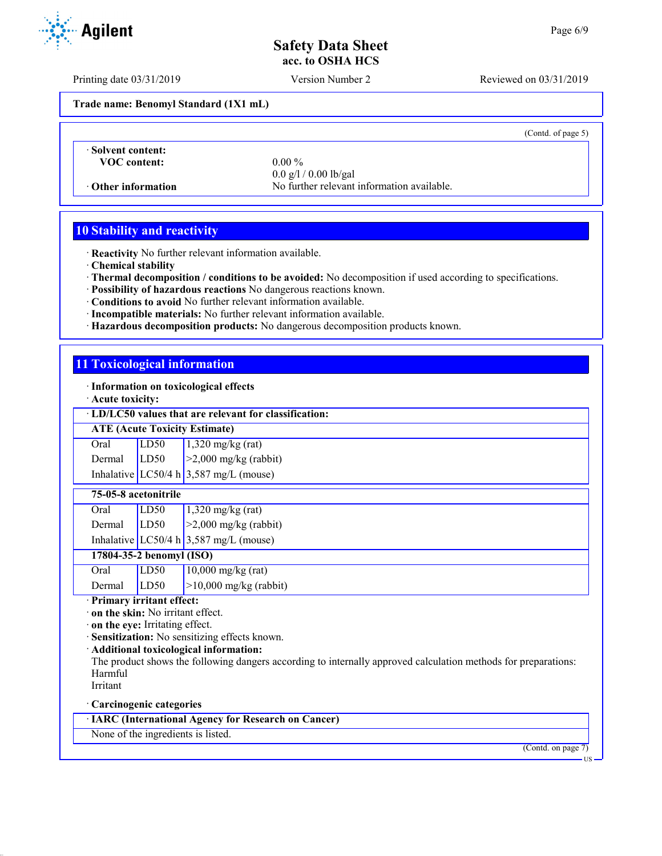Printing date 03/31/2019 Version Number 2 Reviewed on 03/31/2019

**Trade name: Benomyl Standard (1X1 mL)**

(Contd. of page 5)

· **Solvent content: VOC content:** 0.00 %

0.0 g/l / 0.00 lb/gal · **Other information** No further relevant information available.

## **10 Stability and reactivity**

· **Reactivity** No further relevant information available.

· **Chemical stability**

- · **Thermal decomposition / conditions to be avoided:** No decomposition if used according to specifications.
- · **Possibility of hazardous reactions** No dangerous reactions known.
- · **Conditions to avoid** No further relevant information available.
- · **Incompatible materials:** No further relevant information available.
- · **Hazardous decomposition products:** No dangerous decomposition products known.

## **11 Toxicological information**

· **Information on toxicological effects**

· **Acute toxicity:**

· **LD/LC50 values that are relevant for classification:**

**ATE (Acute Toxicity Estimate)**

| Oral   | LD50 | $1,320$ mg/kg (rat)                    |
|--------|------|----------------------------------------|
| Dermal | LD50 | $\geq$ 2,000 mg/kg (rabbit)            |
|        |      | Inhalative LC50/4 h 3,587 mg/L (mouse) |

#### **75-05-8 acetonitrile**

| Oral   | LD50 | $1,320$ mg/kg (rat)                      |
|--------|------|------------------------------------------|
| Dermal | LD50 | $\geq$ 2,000 mg/kg (rabbit)              |
|        |      | Inhalative LC50/4 h $3,587$ mg/L (mouse) |

## **17804-35-2 benomyl (ISO)**

| Oral        | LD50 | $10,000 \text{ mg/kg (rat)}$ |
|-------------|------|------------------------------|
| Dermal LD50 |      | $ >10,000$ mg/kg (rabbit)    |

· **Primary irritant effect:**

· **on the skin:** No irritant effect.

· **on the eye:** Irritating effect.

· **Sensitization:** No sensitizing effects known.

· **Additional toxicological information:**

The product shows the following dangers according to internally approved calculation methods for preparations: Harmful

Irritant

· **Carcinogenic categories**

· **IARC (International Agency for Research on Cancer)**

None of the ingredients is listed.

(Contd. on page 7)



US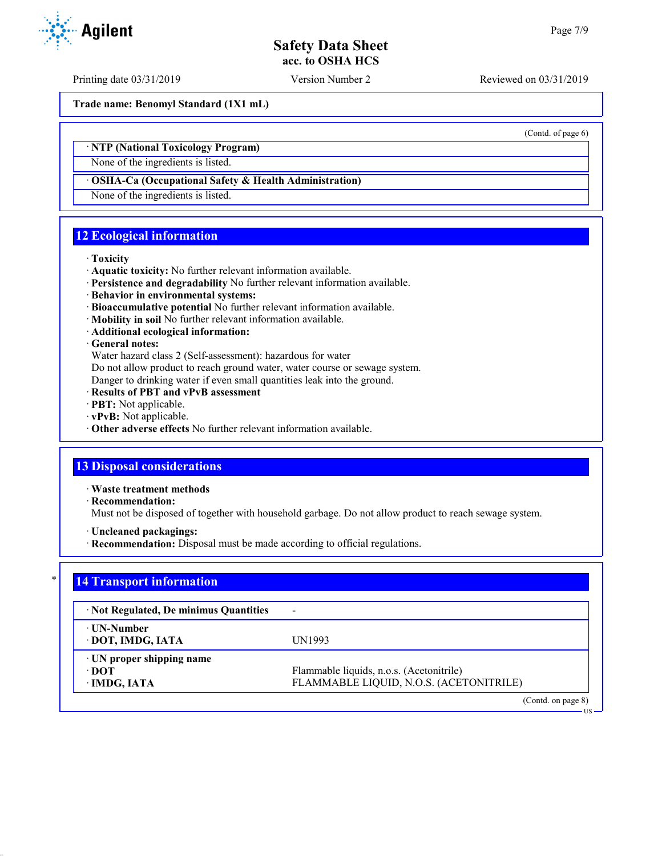Printing date 03/31/2019 Version Number 2 Reviewed on 03/31/2019

**Trade name: Benomyl Standard (1X1 mL)**

· **NTP (National Toxicology Program)**

None of the ingredients is listed.

#### · **OSHA-Ca (Occupational Safety & Health Administration)**

None of the ingredients is listed.

## **12 Ecological information**

#### · **Toxicity**

- · **Aquatic toxicity:** No further relevant information available.
- · **Persistence and degradability** No further relevant information available.
- · **Behavior in environmental systems:**
- · **Bioaccumulative potential** No further relevant information available.
- · **Mobility in soil** No further relevant information available.
- · **Additional ecological information:**

#### · **General notes:**

Water hazard class 2 (Self-assessment): hazardous for water

Do not allow product to reach ground water, water course or sewage system.

Danger to drinking water if even small quantities leak into the ground.

- · **Results of PBT and vPvB assessment**
- · **PBT:** Not applicable.
- · **vPvB:** Not applicable.
- · **Other adverse effects** No further relevant information available.

## **13 Disposal considerations**

· **Waste treatment methods**

· **Recommendation:**

Must not be disposed of together with household garbage. Do not allow product to reach sewage system.

- · **Uncleaned packagings:**
- · **Recommendation:** Disposal must be made according to official regulations.

## **14 Transport information**

| · Not Regulated, De minimus Quantities          | $\overline{\phantom{a}}$                                                            |
|-------------------------------------------------|-------------------------------------------------------------------------------------|
| ⋅ UN-Number<br>· DOT, IMDG, IATA                | UN1993                                                                              |
| UN proper shipping name<br>⊕DOT<br>· IMDG, IATA | Flammable liquids, n.o.s. (Acetonitrile)<br>FLAMMABLE LIQUID, N.O.S. (ACETONITRILE) |
|                                                 | $(Contd \text{ on } \text{pose } \Omega)$                                           |

(Contd. on page 8) US



(Contd. of page 6)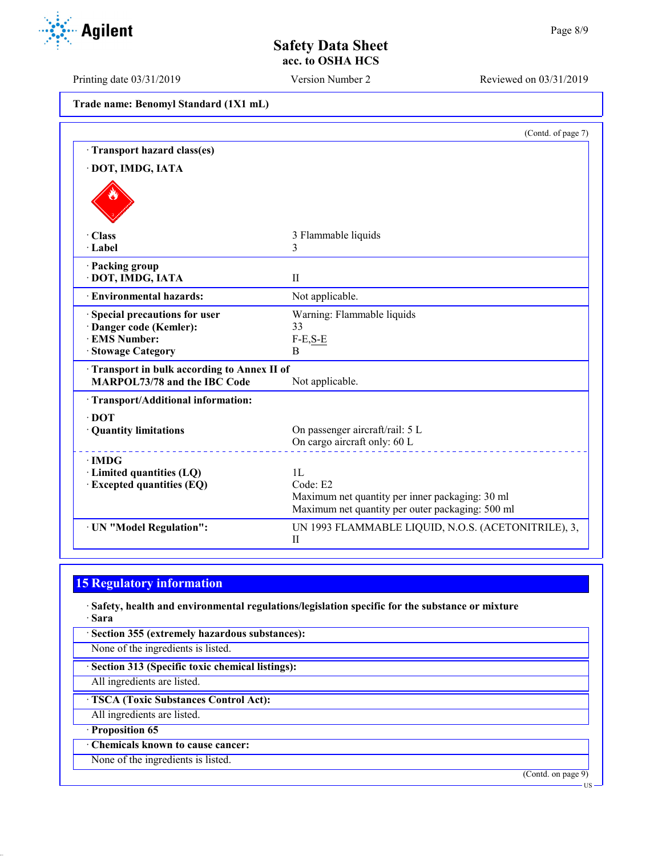Printing date 03/31/2019 Version Number 2 Reviewed on 03/31/2019

| Trade name: Benomyl Standard (1X1 mL) |  |  |  |
|---------------------------------------|--|--|--|
|---------------------------------------|--|--|--|

|                                                                            | (Contd. of page 7)                                  |
|----------------------------------------------------------------------------|-----------------------------------------------------|
| Transport hazard class(es)                                                 |                                                     |
| · DOT, IMDG, IATA                                                          |                                                     |
|                                                                            |                                                     |
| · Class                                                                    | 3 Flammable liquids                                 |
| · Label                                                                    | 3                                                   |
| · Packing group<br>· DOT, IMDG, IATA                                       | $\mathbf{I}$                                        |
| · Environmental hazards:                                                   | Not applicable.                                     |
| Special precautions for user                                               | Warning: Flammable liquids                          |
| · Danger code (Kemler):                                                    | 33                                                  |
| <b>EMS Number:</b>                                                         | $F-E,S-E$                                           |
| · Stowage Category                                                         | B                                                   |
| Transport in bulk according to Annex II of<br>MARPOL73/78 and the IBC Code |                                                     |
|                                                                            | Not applicable.                                     |
| · Transport/Additional information:                                        |                                                     |
| $\cdot$ DOT                                                                |                                                     |
| · Quantity limitations                                                     | On passenger aircraft/rail: 5 L                     |
|                                                                            | On cargo aircraft only: 60 L                        |
| $\cdot$ IMDG                                                               |                                                     |
| · Limited quantities (LQ)                                                  | 1L                                                  |
| $\cdot$ Excepted quantities (EQ)                                           | Code: E2                                            |
|                                                                            | Maximum net quantity per inner packaging: 30 ml     |
|                                                                            | Maximum net quantity per outer packaging: 500 ml    |
| · UN "Model Regulation":                                                   | UN 1993 FLAMMABLE LIQUID, N.O.S. (ACETONITRILE), 3, |
|                                                                            | $_{\rm II}$                                         |

# **15 Regulatory information**

· **Safety, health and environmental regulations/legislation specific for the substance or mixture** · **Sara**

· **Section 355 (extremely hazardous substances):**

None of the ingredients is listed.

· **Section 313 (Specific toxic chemical listings):**

All ingredients are listed.

· **TSCA (Toxic Substances Control Act):**

All ingredients are listed.

· **Proposition 65**

· **Chemicals known to cause cancer:**

None of the ingredients is listed.

(Contd. on page 9)



US